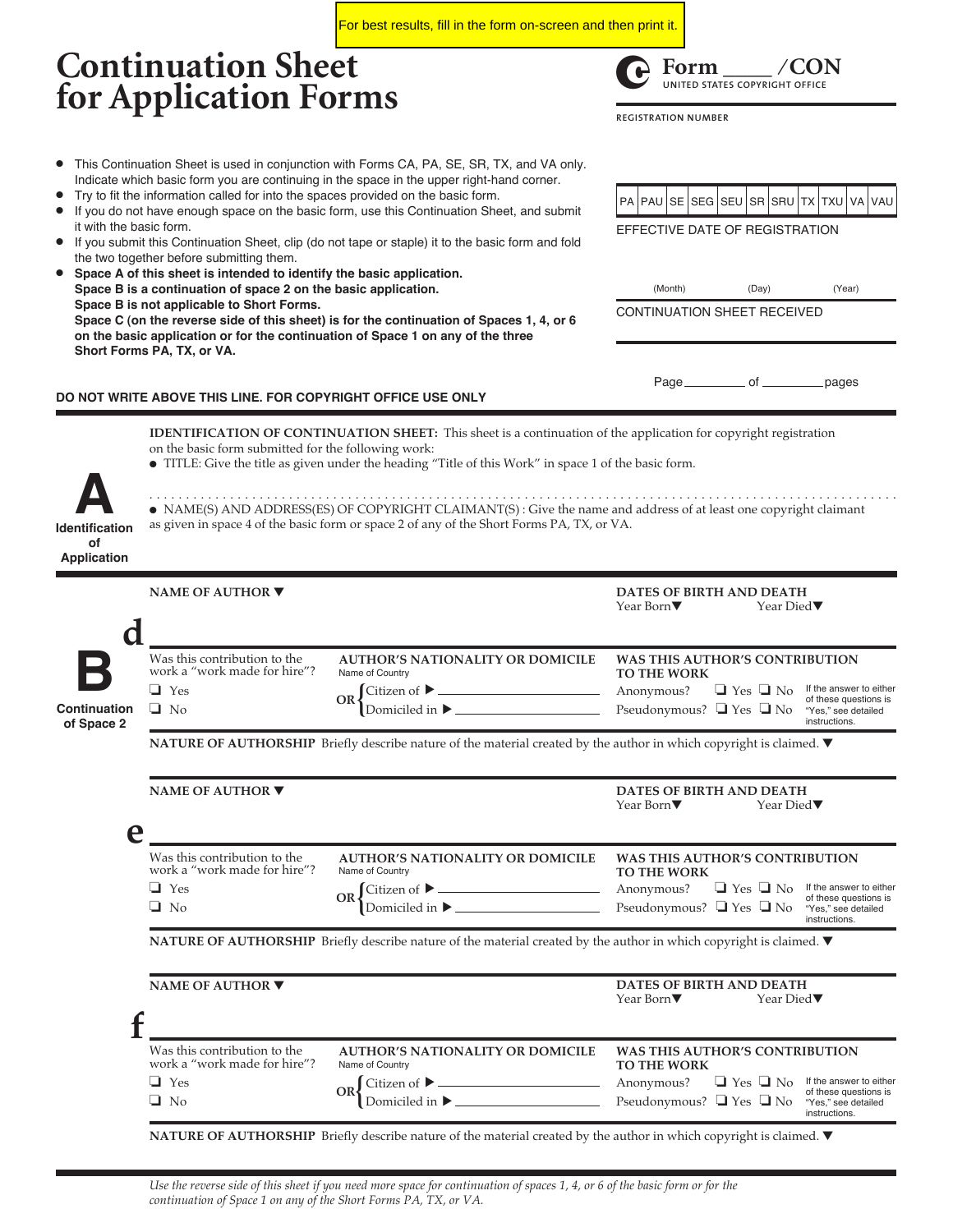**Continuation Sheet for Application Forms** ● This Continuation Sheet is used in conjunction with Forms CA, PA, SE, SR, TX, and VA only. Indicate which basic form you are continuing in the space in the upper right-hand corner. Try to fit the information called for into the spaces provided on the basic form. ● If you do not have enough space on the basic form, use this Continuation Sheet, and submit it with the basic form. If you submit this Continuation Sheet, clip (do not tape or staple) it to the basic form and fold the two together before submitting them. Space A of this sheet is intended to identify the basic application. **Space B is a continuation of space 2 on the basic application. Space B is not applicable to Short Forms. Space C (on the reverse side of this sheet) is for the continuation of Spaces 1, 4, or 6 on the basic application or for the continuation of Space 1 on any of the three Short Forms PA, TX, or VA. DO NOT WRITE ABOVE THIS LINE. FOR COPYRIGHT OFFICE USE ONLY** (Month) (Day) (Year) CONTINUATION SHEET RECEIVED EFFECTIVE DATE OF REGISTRATION **IDENTIFICATION OF CONTINUATION SHEET:** This sheet is a continuation of the application for copyright registration on the basic form submitted for the following work: ● TITLE: Give the title as given under the heading "Title of this Work" in space 1 of the basic form. **NATURE OF AUTHORSHIP** Briefly describe nature of the material created by the author in which copyright is claimed. ▼ **DATES OF BIRTH AND DEATH** Year Died▼ **NATURE OF AUTHORSHIP** Briefly describe nature of the material created by the author in which copyright is claimed. ▼ **NAME OF AUTHOR** ▼ **DATES OF BIRTH AND DEATH** Year Died▼ **NAME OF AUTHOR** ▼ **DATES OF BIRTH AND DEATH** Year Died▼ **Identification A of Application Continuation of Space 2 B d e f** . . . . . . . . . . . . . . . . . . . . . . . . . . . . . . . . . . . . . . . . . . . . . . . . . . . . . . . . . . . . . . . . . . . . . . . . . . . . . . . . . . . . . . . . . . . . . . . . . . . . . . ● NAME(S) AND ADDRESS(ES) OF COPYRIGHT CLAIMANT(S) : Give the name and address of at least one copyright claimant as given in space 4 of the basic form or space 2 of any of the Short Forms PA, TX, or VA. **NAME OF AUTHOR** ▼ **WAS THIS AUTHOR'S CONTRIBUTION TO THE WORK** Anonymous? ❏ Yes ❏ No Pseudonymous? ❏ Yes ❏ No If the answer to either of these questions is "Yes," see detailed instructions. Was this contribution to the work a "work made for hire"? **AUTHOR'S NATIONALITY OR DOMICILE** Name of Country ❏ Yes ❏ No Citizen of ▶  $OR \begin{cases} \text{Citizen of} \blacktriangleright \perp \\ \text{Domiciled in} \blacktriangleright \end{cases}$ **WAS THIS AUTHOR'S CONTRIBUTION TO THE WORK** Anonymous?  $\Box$  Yes  $\Box$  No If the answer to either Pseudonymous? ❏ Yes ❏ No of these questions is "Yes," see detailed instructions. Was this contribution to the work a "work made for hire"? **AUTHOR'S NATIONALITY OR DOMICILE** Name of Country ❏ Yes ❏ No Citizen of  $OR \begin{cases} \text{Citizen of} & \longrightarrow \\ \text{Domiciled in} & \longrightarrow \end{cases}$ If the answer to either of these questions is "Yes," see detailed instructions. PA PAU SE SEG SEU SR SRU TX TXU VA VAU Page \_\_\_\_\_\_\_\_\_\_\_ of \_\_\_\_\_\_\_\_\_\_ pages **WAS THIS AUTHOR'S CONTRIBUTION TO THE WORK** Anonymous? ❏ Yes ❏ No Pseudonymous? ❏ Yes ❏ No Was this contribution to the work a "work made for hire"? **AUTHOR'S NATIONALITY OR DOMICILE** Name of Country ❏ Yes ❏ No Citizen of  $\blacktriangleright$ .  $OR \begin{cases} \text{Citizen of} & \longrightarrow \\ \text{Domiciled in} & \longrightarrow \end{cases}$ 3 **Form \_\_\_\_ ⁄ CON UNITED STATES COPYRIGHT OFFICE REGISTRATION NUMBER** For best results, fill in the form on-screen and then print it.

**NATURE OF AUTHORSHIP** Briefly describe nature of the material created by the author in which copyright is claimed. ▼